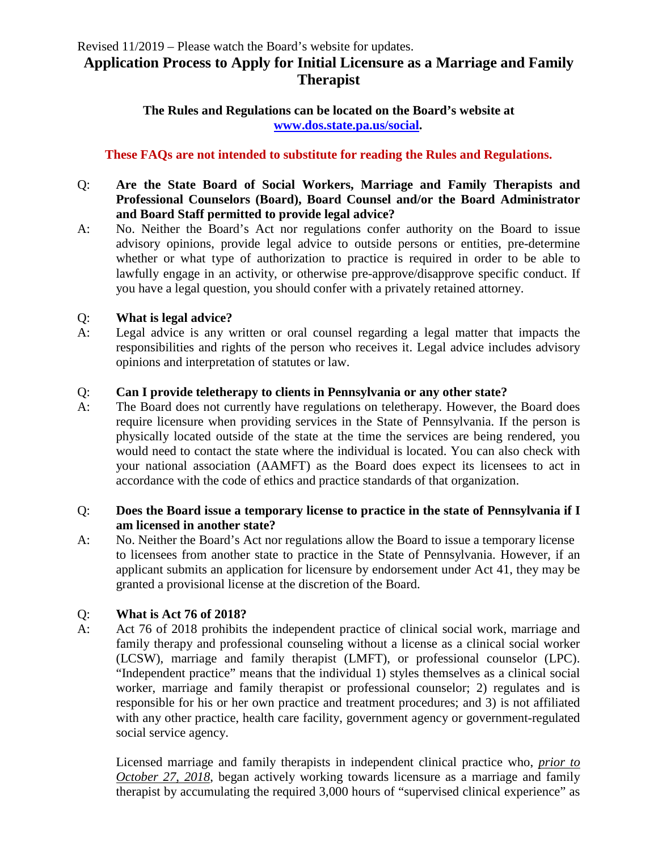# **Application Process to Apply for Initial Licensure as a Marriage and Family Therapist**

**The Rules and Regulations can be located on the Board's website at [www.dos.state.pa.us/social.](http://www.dos.state.pa.us/social)**

#### **These FAQs are not intended to substitute for reading the Rules and Regulations.**

#### Q: **Are the State Board of Social Workers, Marriage and Family Therapists and Professional Counselors (Board), Board Counsel and/or the Board Administrator and Board Staff permitted to provide legal advice?**

A: No. Neither the Board's Act nor regulations confer authority on the Board to issue advisory opinions, provide legal advice to outside persons or entities, pre-determine whether or what type of authorization to practice is required in order to be able to lawfully engage in an activity, or otherwise pre-approve/disapprove specific conduct. If you have a legal question, you should confer with a privately retained attorney.

#### Q: **What is legal advice?**

A: Legal advice is any written or oral counsel regarding a legal matter that impacts the responsibilities and rights of the person who receives it. Legal advice includes advisory opinions and interpretation of statutes or law.

#### Q: **Can I provide teletherapy to clients in Pennsylvania or any other state?**

A: The Board does not currently have regulations on teletherapy. However, the Board does require licensure when providing services in the State of Pennsylvania. If the person is physically located outside of the state at the time the services are being rendered, you would need to contact the state where the individual is located. You can also check with your national association (AAMFT) as the Board does expect its licensees to act in accordance with the code of ethics and practice standards of that organization.

#### Q: **Does the Board issue a temporary license to practice in the state of Pennsylvania if I am licensed in another state?**

A: No. Neither the Board's Act nor regulations allow the Board to issue a temporary license to licensees from another state to practice in the State of Pennsylvania. However, if an applicant submits an application for licensure by endorsement under Act 41, they may be granted a provisional license at the discretion of the Board.

### Q: **What is Act 76 of 2018?**

A: Act 76 of 2018 prohibits the independent practice of clinical social work, marriage and family therapy and professional counseling without a license as a clinical social worker (LCSW), marriage and family therapist (LMFT), or professional counselor (LPC). "Independent practice" means that the individual 1) styles themselves as a clinical social worker, marriage and family therapist or professional counselor; 2) regulates and is responsible for his or her own practice and treatment procedures; and 3) is not affiliated with any other practice, health care facility, government agency or government-regulated social service agency.

Licensed marriage and family therapists in independent clinical practice who, *prior to October 27, 2018*, began actively working towards licensure as a marriage and family therapist by accumulating the required 3,000 hours of "supervised clinical experience" as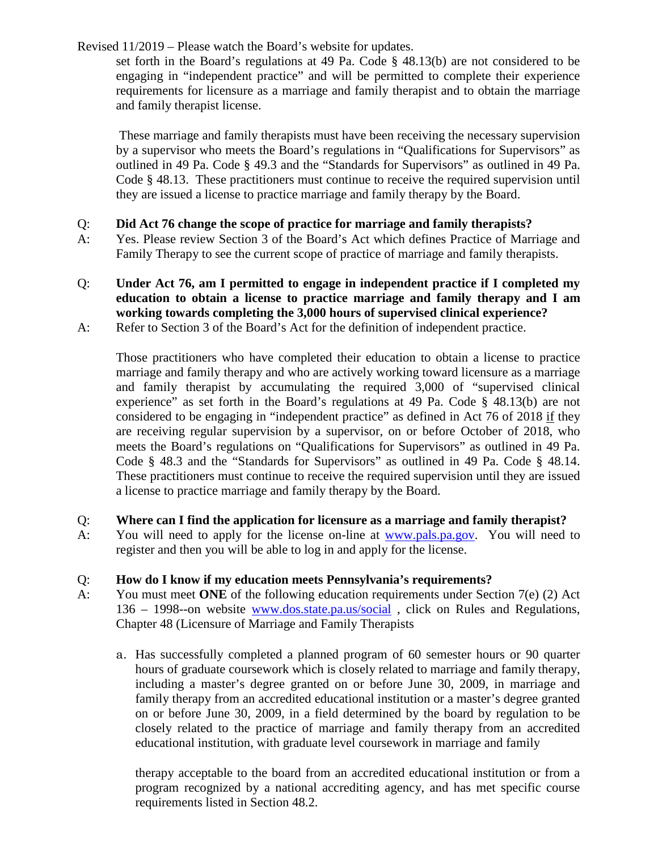set forth in the Board's regulations at 49 Pa. Code § 48.13(b) are not considered to be engaging in "independent practice" and will be permitted to complete their experience requirements for licensure as a marriage and family therapist and to obtain the marriage and family therapist license.

These marriage and family therapists must have been receiving the necessary supervision by a supervisor who meets the Board's regulations in "Qualifications for Supervisors" as outlined in 49 Pa. Code § 49.3 and the "Standards for Supervisors" as outlined in 49 Pa. Code § 48.13. These practitioners must continue to receive the required supervision until they are issued a license to practice marriage and family therapy by the Board.

### Q: **Did Act 76 change the scope of practice for marriage and family therapists?**

- A: Yes. Please review Section 3 of the Board's Act which defines Practice of Marriage and Family Therapy to see the current scope of practice of marriage and family therapists.
- Q: **Under Act 76, am I permitted to engage in independent practice if I completed my education to obtain a license to practice marriage and family therapy and I am working towards completing the 3,000 hours of supervised clinical experience?**
- A: Refer to Section 3 of the Board's Act for the definition of independent practice.

Those practitioners who have completed their education to obtain a license to practice marriage and family therapy and who are actively working toward licensure as a marriage and family therapist by accumulating the required 3,000 of "supervised clinical experience" as set forth in the Board's regulations at 49 Pa. Code § 48.13(b) are not considered to be engaging in "independent practice" as defined in Act 76 of 2018 if they are receiving regular supervision by a supervisor, on or before October of 2018, who meets the Board's regulations on "Qualifications for Supervisors" as outlined in 49 Pa. Code § 48.3 and the "Standards for Supervisors" as outlined in 49 Pa. Code § 48.14. These practitioners must continue to receive the required supervision until they are issued a license to practice marriage and family therapy by the Board.

- Q: **Where can I find the application for licensure as a marriage and family therapist?**
- A: You will need to apply for the license on-line at [www.pals.pa.gov.](http://www.pals.pa.gov/) You will need to register and then you will be able to log in and apply for the license.

### Q: **How do I know if my education meets Pennsylvania's requirements?**

- A: You must meet **ONE** of the following education requirements under Section 7(e) (2) Act 136 – 1998--on website [www.dos.state.pa.us/social](http://www.dos.state.pa.us/social) , click on Rules and Regulations, Chapter 48 (Licensure of Marriage and Family Therapists
	- a. Has successfully completed a planned program of 60 semester hours or 90 quarter hours of graduate coursework which is closely related to marriage and family therapy, including a master's degree granted on or before June 30, 2009, in marriage and family therapy from an accredited educational institution or a master's degree granted on or before June 30, 2009, in a field determined by the board by regulation to be closely related to the practice of marriage and family therapy from an accredited educational institution, with graduate level coursework in marriage and family

therapy acceptable to the board from an accredited educational institution or from a program recognized by a national accrediting agency, and has met specific course requirements listed in Section 48.2.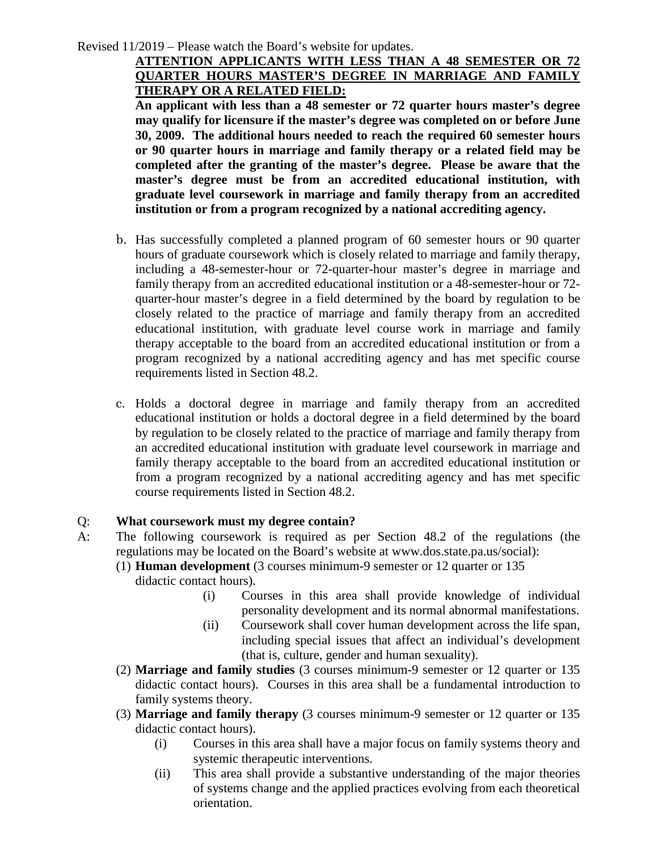### **ATTENTION APPLICANTS WITH LESS THAN A 48 SEMESTER OR 72 QUARTER HOURS MASTER'S DEGREE IN MARRIAGE AND FAMILY THERAPY OR A RELATED FIELD:**

**An applicant with less than a 48 semester or 72 quarter hours master's degree may qualify for licensure if the master's degree was completed on or before June 30, 2009. The additional hours needed to reach the required 60 semester hours or 90 quarter hours in marriage and family therapy or a related field may be completed after the granting of the master's degree. Please be aware that the master's degree must be from an accredited educational institution, with graduate level coursework in marriage and family therapy from an accredited institution or from a program recognized by a national accrediting agency.** 

- b. Has successfully completed a planned program of 60 semester hours or 90 quarter hours of graduate coursework which is closely related to marriage and family therapy, including a 48-semester-hour or 72-quarter-hour master's degree in marriage and family therapy from an accredited educational institution or a 48-semester-hour or 72 quarter-hour master's degree in a field determined by the board by regulation to be closely related to the practice of marriage and family therapy from an accredited educational institution, with graduate level course work in marriage and family therapy acceptable to the board from an accredited educational institution or from a program recognized by a national accrediting agency and has met specific course requirements listed in Section 48.2.
- c. Holds a doctoral degree in marriage and family therapy from an accredited educational institution or holds a doctoral degree in a field determined by the board by regulation to be closely related to the practice of marriage and family therapy from an accredited educational institution with graduate level coursework in marriage and family therapy acceptable to the board from an accredited educational institution or from a program recognized by a national accrediting agency and has met specific course requirements listed in Section 48.2.

### Q: **What coursework must my degree contain?**

- A: The following coursework is required as per Section 48.2 of the regulations (the regulations may be located on the Board's website at www.dos.state.pa.us/social):
	- (1) **Human development** (3 courses minimum-9 semester or 12 quarter or 135 didactic contact hours).

- (i) Courses in this area shall provide knowledge of individual personality development and its normal abnormal manifestations.
- (ii) Coursework shall cover human development across the life span, including special issues that affect an individual's development (that is, culture, gender and human sexuality).
- (2) **Marriage and family studies** (3 courses minimum-9 semester or 12 quarter or 135 didactic contact hours). Courses in this area shall be a fundamental introduction to family systems theory.
- (3) **Marriage and family therapy** (3 courses minimum-9 semester or 12 quarter or 135 didactic contact hours).
	- (i) Courses in this area shall have a major focus on family systems theory and systemic therapeutic interventions.
	- (ii) This area shall provide a substantive understanding of the major theories of systems change and the applied practices evolving from each theoretical orientation.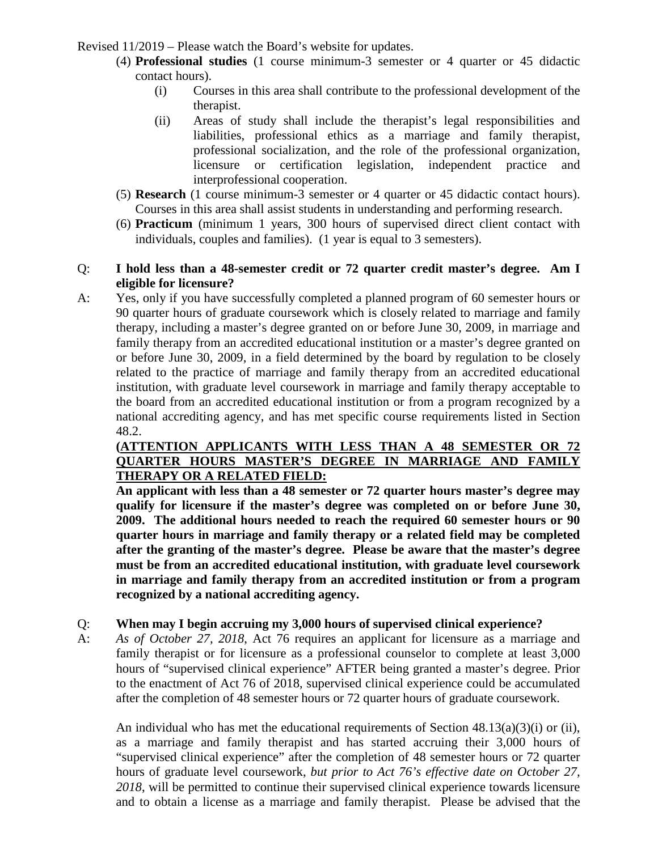- (4) **Professional studies** (1 course minimum-3 semester or 4 quarter or 45 didactic contact hours).
	- (i) Courses in this area shall contribute to the professional development of the therapist.
	- (ii) Areas of study shall include the therapist's legal responsibilities and liabilities, professional ethics as a marriage and family therapist, professional socialization, and the role of the professional organization, licensure or certification legislation, independent practice and interprofessional cooperation.
- (5) **Research** (1 course minimum-3 semester or 4 quarter or 45 didactic contact hours). Courses in this area shall assist students in understanding and performing research.
- (6) **Practicum** (minimum 1 years, 300 hours of supervised direct client contact with individuals, couples and families). (1 year is equal to 3 semesters).

### Q: **I hold less than a 48-semester credit or 72 quarter credit master's degree. Am I eligible for licensure?**

A: Yes, only if you have successfully completed a planned program of 60 semester hours or 90 quarter hours of graduate coursework which is closely related to marriage and family therapy, including a master's degree granted on or before June 30, 2009, in marriage and family therapy from an accredited educational institution or a master's degree granted on or before June 30, 2009, in a field determined by the board by regulation to be closely related to the practice of marriage and family therapy from an accredited educational institution, with graduate level coursework in marriage and family therapy acceptable to the board from an accredited educational institution or from a program recognized by a national accrediting agency, and has met specific course requirements listed in Section 48.2.

### **(ATTENTION APPLICANTS WITH LESS THAN A 48 SEMESTER OR 72 QUARTER HOURS MASTER'S DEGREE IN MARRIAGE AND FAMILY THERAPY OR A RELATED FIELD:**

**An applicant with less than a 48 semester or 72 quarter hours master's degree may qualify for licensure if the master's degree was completed on or before June 30, 2009. The additional hours needed to reach the required 60 semester hours or 90 quarter hours in marriage and family therapy or a related field may be completed after the granting of the master's degree. Please be aware that the master's degree must be from an accredited educational institution, with graduate level coursework in marriage and family therapy from an accredited institution or from a program recognized by a national accrediting agency.** 

# Q: **When may I begin accruing my 3,000 hours of supervised clinical experience?**

A: *As of October 27, 2018*, Act 76 requires an applicant for licensure as a marriage and family therapist or for licensure as a professional counselor to complete at least 3,000 hours of "supervised clinical experience" AFTER being granted a master's degree. Prior to the enactment of Act 76 of 2018, supervised clinical experience could be accumulated after the completion of 48 semester hours or 72 quarter hours of graduate coursework.

An individual who has met the educational requirements of Section  $48.13(a)(3)(i)$  or (ii), as a marriage and family therapist and has started accruing their 3,000 hours of "supervised clinical experience" after the completion of 48 semester hours or 72 quarter hours of graduate level coursework, *but prior to Act 76's effective date on October 27, 2018*, will be permitted to continue their supervised clinical experience towards licensure and to obtain a license as a marriage and family therapist. Please be advised that the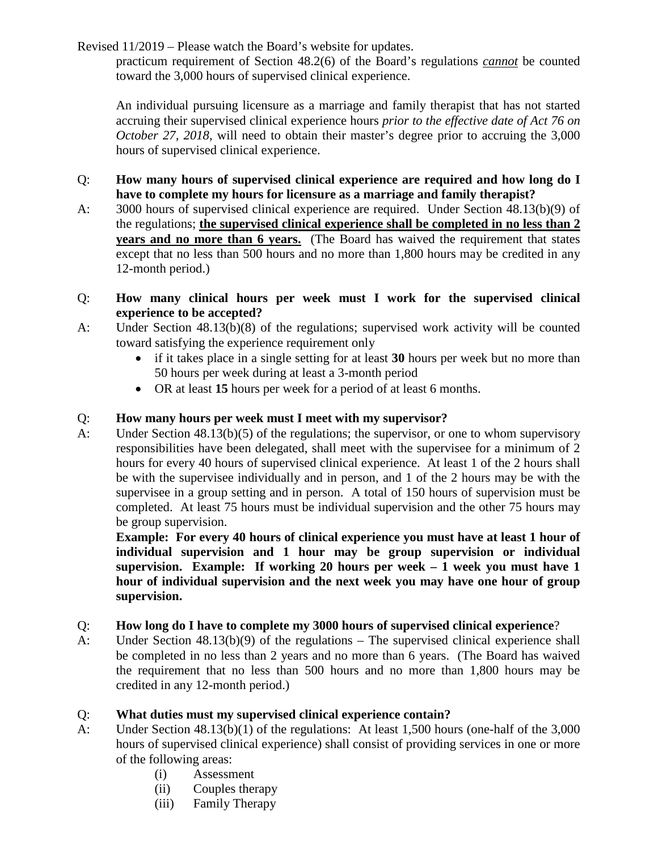practicum requirement of Section 48.2(6) of the Board's regulations *cannot* be counted toward the 3,000 hours of supervised clinical experience.

An individual pursuing licensure as a marriage and family therapist that has not started accruing their supervised clinical experience hours *prior to the effective date of Act 76 on October 27, 2018*, will need to obtain their master's degree prior to accruing the 3,000 hours of supervised clinical experience.

- Q: **How many hours of supervised clinical experience are required and how long do I have to complete my hours for licensure as a marriage and family therapist?**
- A: 3000 hours of supervised clinical experience are required. Under Section 48.13(b)(9) of the regulations; **the supervised clinical experience shall be completed in no less than 2 years and no more than 6 years.** (The Board has waived the requirement that states except that no less than 500 hours and no more than 1,800 hours may be credited in any 12-month period.)
- Q: **How many clinical hours per week must I work for the supervised clinical experience to be accepted?**
- A: Under Section 48.13(b)(8) of the regulations; supervised work activity will be counted toward satisfying the experience requirement only
	- if it takes place in a single setting for at least **30** hours per week but no more than 50 hours per week during at least a 3-month period
	- OR at least **15** hours per week for a period of at least 6 months.

### Q: **How many hours per week must I meet with my supervisor?**

A: Under Section 48.13(b)(5) of the regulations; the supervisor, or one to whom supervisory responsibilities have been delegated, shall meet with the supervisee for a minimum of 2 hours for every 40 hours of supervised clinical experience. At least 1 of the 2 hours shall be with the supervisee individually and in person, and 1 of the 2 hours may be with the supervisee in a group setting and in person. A total of 150 hours of supervision must be completed. At least 75 hours must be individual supervision and the other 75 hours may be group supervision.

**Example: For every 40 hours of clinical experience you must have at least 1 hour of individual supervision and 1 hour may be group supervision or individual supervision. Example: If working 20 hours per week – 1 week you must have 1 hour of individual supervision and the next week you may have one hour of group supervision.**

### Q: **How long do I have to complete my 3000 hours of supervised clinical experience**?

A: Under Section 48.13(b)(9) of the regulations – The supervised clinical experience shall be completed in no less than 2 years and no more than 6 years. (The Board has waived the requirement that no less than 500 hours and no more than 1,800 hours may be credited in any 12-month period.)

### Q: **What duties must my supervised clinical experience contain?**

- A: Under Section 48.13(b)(1) of the regulations: At least 1,500 hours (one-half of the 3,000 hours of supervised clinical experience) shall consist of providing services in one or more of the following areas:
	- (i) Assessment
	- (ii) Couples therapy
	- (iii) Family Therapy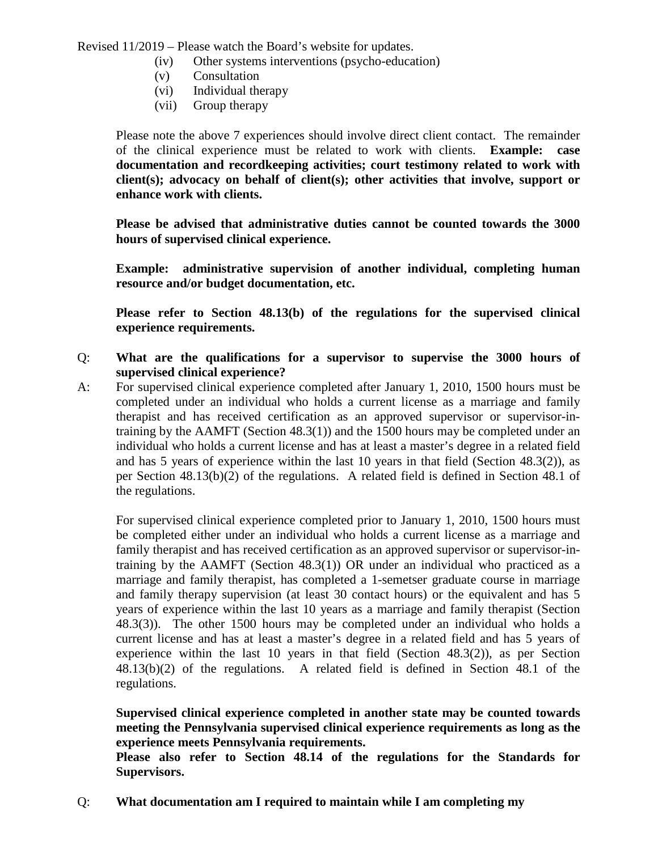- (iv) Other systems interventions (psycho-education)
- (v) Consultation
- (vi) Individual therapy
- (vii) Group therapy

Please note the above 7 experiences should involve direct client contact. The remainder of the clinical experience must be related to work with clients. **Example: case documentation and recordkeeping activities; court testimony related to work with client(s); advocacy on behalf of client(s); other activities that involve, support or enhance work with clients.**

**Please be advised that administrative duties cannot be counted towards the 3000 hours of supervised clinical experience.** 

**Example: administrative supervision of another individual, completing human resource and/or budget documentation, etc.**

**Please refer to Section 48.13(b) of the regulations for the supervised clinical experience requirements.**

- Q: **What are the qualifications for a supervisor to supervise the 3000 hours of supervised clinical experience?**
- A: For supervised clinical experience completed after January 1, 2010, 1500 hours must be completed under an individual who holds a current license as a marriage and family therapist and has received certification as an approved supervisor or supervisor-intraining by the AAMFT (Section 48.3(1)) and the 1500 hours may be completed under an individual who holds a current license and has at least a master's degree in a related field and has 5 years of experience within the last 10 years in that field (Section 48.3(2)), as per Section 48.13(b)(2) of the regulations. A related field is defined in Section 48.1 of the regulations.

For supervised clinical experience completed prior to January 1, 2010, 1500 hours must be completed either under an individual who holds a current license as a marriage and family therapist and has received certification as an approved supervisor or supervisor-intraining by the AAMFT (Section  $48.3(1)$ ) OR under an individual who practiced as a marriage and family therapist, has completed a 1-semetser graduate course in marriage and family therapy supervision (at least 30 contact hours) or the equivalent and has 5 years of experience within the last 10 years as a marriage and family therapist (Section 48.3(3)). The other 1500 hours may be completed under an individual who holds a current license and has at least a master's degree in a related field and has 5 years of experience within the last 10 years in that field (Section 48.3(2)), as per Section 48.13(b)(2) of the regulations. A related field is defined in Section 48.1 of the regulations.

**Supervised clinical experience completed in another state may be counted towards meeting the Pennsylvania supervised clinical experience requirements as long as the experience meets Pennsylvania requirements.**

**Please also refer to Section 48.14 of the regulations for the Standards for Supervisors.**

Q: **What documentation am I required to maintain while I am completing my**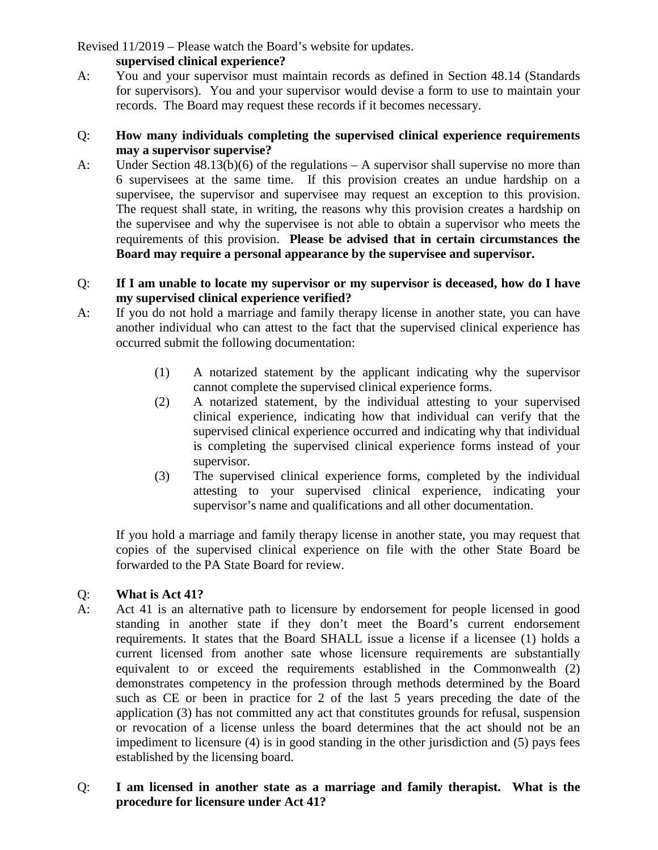# **supervised clinical experience?**

A: You and your supervisor must maintain records as defined in Section 48.14 (Standards for supervisors). You and your supervisor would devise a form to use to maintain your records. The Board may request these records if it becomes necessary.

### Q: **How many individuals completing the supervised clinical experience requirements may a supervisor supervise?**

A: Under Section 48.13(b)(6) of the regulations – A supervisor shall supervise no more than 6 supervisees at the same time. If this provision creates an undue hardship on a supervisee, the supervisor and supervisee may request an exception to this provision. The request shall state, in writing, the reasons why this provision creates a hardship on the supervisee and why the supervisee is not able to obtain a supervisor who meets the requirements of this provision. **Please be advised that in certain circumstances the Board may require a personal appearance by the supervisee and supervisor.**

### Q: **If I am unable to locate my supervisor or my supervisor is deceased, how do I have my supervised clinical experience verified?**

- A: If you do not hold a marriage and family therapy license in another state, you can have another individual who can attest to the fact that the supervised clinical experience has occurred submit the following documentation:
	- (1) A notarized statement by the applicant indicating why the supervisor cannot complete the supervised clinical experience forms.
	- (2) A notarized statement, by the individual attesting to your supervised clinical experience, indicating how that individual can verify that the supervised clinical experience occurred and indicating why that individual is completing the supervised clinical experience forms instead of your supervisor.
	- (3) The supervised clinical experience forms, completed by the individual attesting to your supervised clinical experience, indicating your supervisor's name and qualifications and all other documentation.

If you hold a marriage and family therapy license in another state, you may request that copies of the supervised clinical experience on file with the other State Board be forwarded to the PA State Board for review.

# Q: **What is Act 41?**

A: Act 41 is an alternative path to licensure by endorsement for people licensed in good standing in another state if they don't meet the Board's current endorsement requirements. It states that the Board SHALL issue a license if a licensee (1) holds a current licensed from another sate whose licensure requirements are substantially equivalent to or exceed the requirements established in the Commonwealth (2) demonstrates competency in the profession through methods determined by the Board such as CE or been in practice for 2 of the last 5 years preceding the date of the application (3) has not committed any act that constitutes grounds for refusal, suspension or revocation of a license unless the board determines that the act should not be an impediment to licensure (4) is in good standing in the other jurisdiction and (5) pays fees established by the licensing board.

### Q: **I am licensed in another state as a marriage and family therapist. What is the procedure for licensure under Act 41?**